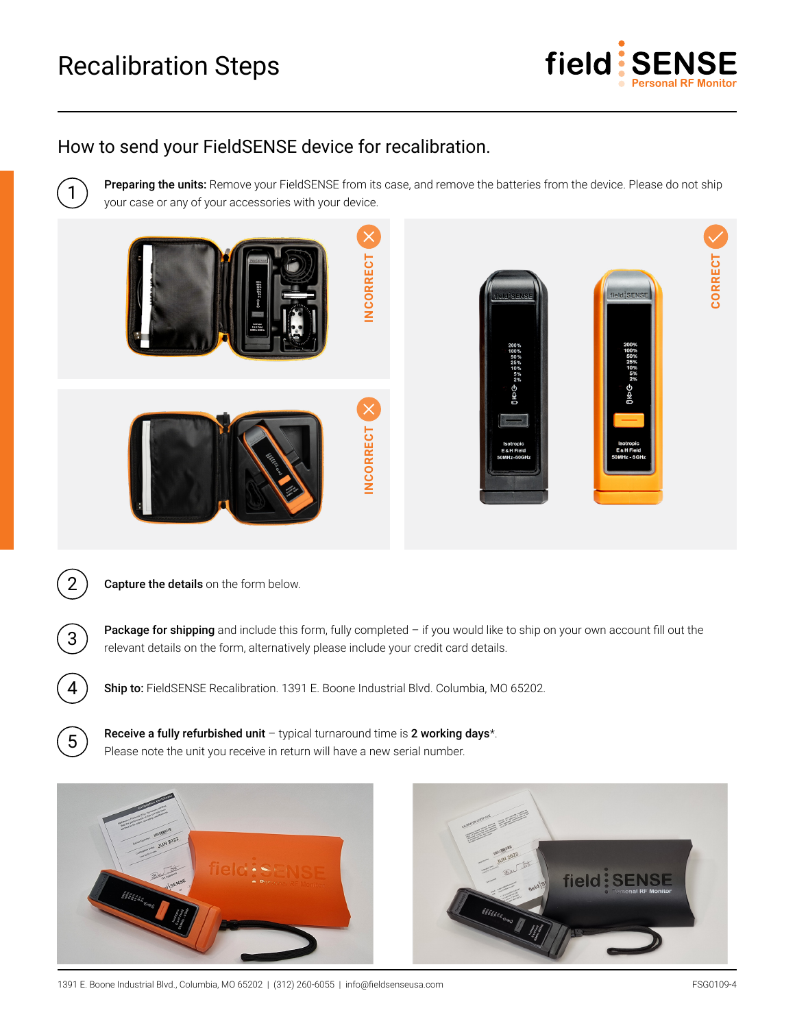## Recalibration Steps



## How to send your FieldSENSE device for recalibration.

1

2

3

4

5

Preparing the units: Remove your FieldSENSE from its case, and remove the batteries from the device. Please do not ship your case or any of your accessories with your device.



Capture the details on the form below.

Package for shipping and include this form, fully completed – if you would like to ship on your own account fill out the relevant details on the form, alternatively please include your credit card details.

Ship to: FieldSENSE Recalibration. 1391 E. Boone Industrial Blvd. Columbia, MO 65202.

Receive a fully refurbished unit - typical turnaround time is 2 working days\*. Please note the unit you receive in return will have a new serial number.





1391 E. Boone Industrial Blvd., Columbia, MO 65202 | (312) 260-6055 | info@fieldsenseusa.com